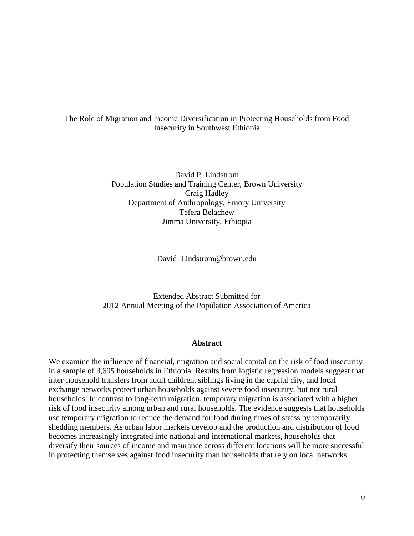# The Role of Migration and Income Diversification in Protecting Households from Food Insecurity in Southwest Ethiopia

David P. Lindstrom Population Studies and Training Center, Brown University Craig Hadley Department of Anthropology, Emory University Tefera Belachew Jimma University, Ethiopia

David\_Lindstrom@brown.edu

Extended Abstract Submitted for 2012 Annual Meeting of the Population Association of America

#### **Abstract**

We examine the influence of financial, migration and social capital on the risk of food insecurity in a sample of 3,695 households in Ethiopia. Results from logistic regression models suggest that inter-household transfers from adult children, siblings living in the capital city, and local exchange networks protect urban households against severe food insecurity, but not rural households. In contrast to long-term migration, temporary migration is associated with a higher risk of food insecurity among urban and rural households. The evidence suggests that households use temporary migration to reduce the demand for food during times of stress by temporarily shedding members. As urban labor markets develop and the production and distribution of food becomes increasingly integrated into national and international markets, households that diversify their sources of income and insurance across different locations will be more successful in protecting themselves against food insecurity than households that rely on local networks.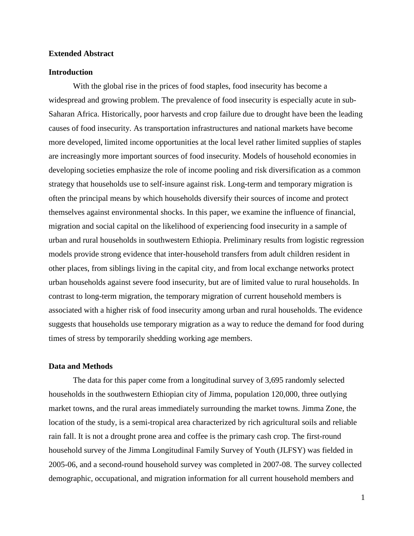# **Extended Abstract**

#### **Introduction**

With the global rise in the prices of food staples, food insecurity has become a widespread and growing problem. The prevalence of food insecurity is especially acute in sub-Saharan Africa. Historically, poor harvests and crop failure due to drought have been the leading causes of food insecurity. As transportation infrastructures and national markets have become more developed, limited income opportunities at the local level rather limited supplies of staples are increasingly more important sources of food insecurity. Models of household economies in developing societies emphasize the role of income pooling and risk diversification as a common strategy that households use to self-insure against risk. Long-term and temporary migration is often the principal means by which households diversify their sources of income and protect themselves against environmental shocks. In this paper, we examine the influence of financial, migration and social capital on the likelihood of experiencing food insecurity in a sample of urban and rural households in southwestern Ethiopia. Preliminary results from logistic regression models provide strong evidence that inter-household transfers from adult children resident in other places, from siblings living in the capital city, and from local exchange networks protect urban households against severe food insecurity, but are of limited value to rural households. In contrast to long-term migration, the temporary migration of current household members is associated with a higher risk of food insecurity among urban and rural households. The evidence suggests that households use temporary migration as a way to reduce the demand for food during times of stress by temporarily shedding working age members.

### **Data and Methods**

The data for this paper come from a longitudinal survey of 3,695 randomly selected households in the southwestern Ethiopian city of Jimma, population 120,000, three outlying market towns, and the rural areas immediately surrounding the market towns. Jimma Zone, the location of the study, is a semi-tropical area characterized by rich agricultural soils and reliable rain fall. It is not a drought prone area and coffee is the primary cash crop. The first-round household survey of the Jimma Longitudinal Family Survey of Youth (JLFSY) was fielded in 2005-06, and a second-round household survey was completed in 2007-08. The survey collected demographic, occupational, and migration information for all current household members and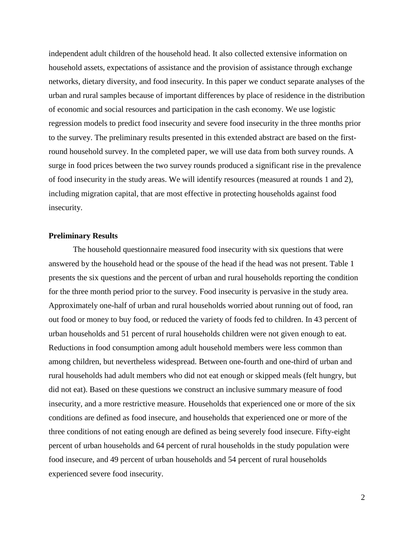independent adult children of the household head. It also collected extensive information on household assets, expectations of assistance and the provision of assistance through exchange networks, dietary diversity, and food insecurity. In this paper we conduct separate analyses of the urban and rural samples because of important differences by place of residence in the distribution of economic and social resources and participation in the cash economy. We use logistic regression models to predict food insecurity and severe food insecurity in the three months prior to the survey. The preliminary results presented in this extended abstract are based on the firstround household survey. In the completed paper, we will use data from both survey rounds. A surge in food prices between the two survey rounds produced a significant rise in the prevalence of food insecurity in the study areas. We will identify resources (measured at rounds 1 and 2), including migration capital, that are most effective in protecting households against food insecurity.

# **Preliminary Results**

The household questionnaire measured food insecurity with six questions that were answered by the household head or the spouse of the head if the head was not present. Table 1 presents the six questions and the percent of urban and rural households reporting the condition for the three month period prior to the survey. Food insecurity is pervasive in the study area. Approximately one-half of urban and rural households worried about running out of food, ran out food or money to buy food, or reduced the variety of foods fed to children. In 43 percent of urban households and 51 percent of rural households children were not given enough to eat. Reductions in food consumption among adult household members were less common than among children, but nevertheless widespread. Between one-fourth and one-third of urban and rural households had adult members who did not eat enough or skipped meals (felt hungry, but did not eat). Based on these questions we construct an inclusive summary measure of food insecurity, and a more restrictive measure. Households that experienced one or more of the six conditions are defined as food insecure, and households that experienced one or more of the three conditions of not eating enough are defined as being severely food insecure. Fifty-eight percent of urban households and 64 percent of rural households in the study population were food insecure, and 49 percent of urban households and 54 percent of rural households experienced severe food insecurity.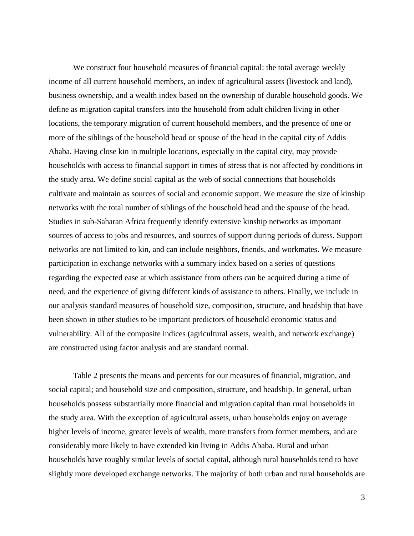We construct four household measures of financial capital: the total average weekly income of all current household members, an index of agricultural assets (livestock and land), business ownership, and a wealth index based on the ownership of durable household goods. We define as migration capital transfers into the household from adult children living in other locations, the temporary migration of current household members, and the presence of one or more of the siblings of the household head or spouse of the head in the capital city of Addis Ababa. Having close kin in multiple locations, especially in the capital city, may provide households with access to financial support in times of stress that is not affected by conditions in the study area. We define social capital as the web of social connections that households cultivate and maintain as sources of social and economic support. We measure the size of kinship networks with the total number of siblings of the household head and the spouse of the head. Studies in sub-Saharan Africa frequently identify extensive kinship networks as important sources of access to jobs and resources, and sources of support during periods of duress. Support networks are not limited to kin, and can include neighbors, friends, and workmates. We measure participation in exchange networks with a summary index based on a series of questions regarding the expected ease at which assistance from others can be acquired during a time of need, and the experience of giving different kinds of assistance to others. Finally, we include in our analysis standard measures of household size, composition, structure, and headship that have been shown in other studies to be important predictors of household economic status and vulnerability. All of the composite indices (agricultural assets, wealth, and network exchange) are constructed using factor analysis and are standard normal.

Table 2 presents the means and percents for our measures of financial, migration, and social capital; and household size and composition, structure, and headship. In general, urban households possess substantially more financial and migration capital than rural households in the study area. With the exception of agricultural assets, urban households enjoy on average higher levels of income, greater levels of wealth, more transfers from former members, and are considerably more likely to have extended kin living in Addis Ababa. Rural and urban households have roughly similar levels of social capital, although rural households tend to have slightly more developed exchange networks. The majority of both urban and rural households are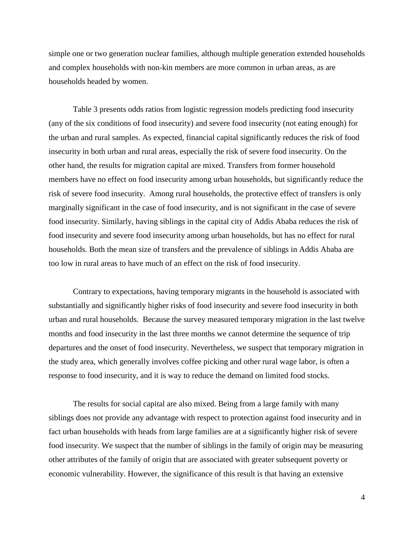simple one or two generation nuclear families, although multiple generation extended households and complex households with non-kin members are more common in urban areas, as are households headed by women.

Table 3 presents odds ratios from logistic regression models predicting food insecurity (any of the six conditions of food insecurity) and severe food insecurity (not eating enough) for the urban and rural samples. As expected, financial capital significantly reduces the risk of food insecurity in both urban and rural areas, especially the risk of severe food insecurity. On the other hand, the results for migration capital are mixed. Transfers from former household members have no effect on food insecurity among urban households, but significantly reduce the risk of severe food insecurity. Among rural households, the protective effect of transfers is only marginally significant in the case of food insecurity, and is not significant in the case of severe food insecurity. Similarly, having siblings in the capital city of Addis Ababa reduces the risk of food insecurity and severe food insecurity among urban households, but has no effect for rural households. Both the mean size of transfers and the prevalence of siblings in Addis Ababa are too low in rural areas to have much of an effect on the risk of food insecurity.

Contrary to expectations, having temporary migrants in the household is associated with substantially and significantly higher risks of food insecurity and severe food insecurity in both urban and rural households. Because the survey measured temporary migration in the last twelve months and food insecurity in the last three months we cannot determine the sequence of trip departures and the onset of food insecurity. Nevertheless, we suspect that temporary migration in the study area, which generally involves coffee picking and other rural wage labor, is often a response to food insecurity, and it is way to reduce the demand on limited food stocks.

The results for social capital are also mixed. Being from a large family with many siblings does not provide any advantage with respect to protection against food insecurity and in fact urban households with heads from large families are at a significantly higher risk of severe food insecurity. We suspect that the number of siblings in the family of origin may be measuring other attributes of the family of origin that are associated with greater subsequent poverty or economic vulnerability. However, the significance of this result is that having an extensive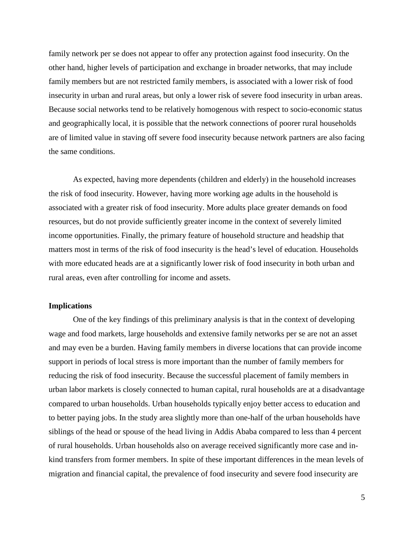family network per se does not appear to offer any protection against food insecurity. On the other hand, higher levels of participation and exchange in broader networks, that may include family members but are not restricted family members, is associated with a lower risk of food insecurity in urban and rural areas, but only a lower risk of severe food insecurity in urban areas. Because social networks tend to be relatively homogenous with respect to socio-economic status and geographically local, it is possible that the network connections of poorer rural households are of limited value in staving off severe food insecurity because network partners are also facing the same conditions.

As expected, having more dependents (children and elderly) in the household increases the risk of food insecurity. However, having more working age adults in the household is associated with a greater risk of food insecurity. More adults place greater demands on food resources, but do not provide sufficiently greater income in the context of severely limited income opportunities. Finally, the primary feature of household structure and headship that matters most in terms of the risk of food insecurity is the head's level of education. Households with more educated heads are at a significantly lower risk of food insecurity in both urban and rural areas, even after controlling for income and assets.

# **Implications**

One of the key findings of this preliminary analysis is that in the context of developing wage and food markets, large households and extensive family networks per se are not an asset and may even be a burden. Having family members in diverse locations that can provide income support in periods of local stress is more important than the number of family members for reducing the risk of food insecurity. Because the successful placement of family members in urban labor markets is closely connected to human capital, rural households are at a disadvantage compared to urban households. Urban households typically enjoy better access to education and to better paying jobs. In the study area slightly more than one-half of the urban households have siblings of the head or spouse of the head living in Addis Ababa compared to less than 4 percent of rural households. Urban households also on average received significantly more case and inkind transfers from former members. In spite of these important differences in the mean levels of migration and financial capital, the prevalence of food insecurity and severe food insecurity are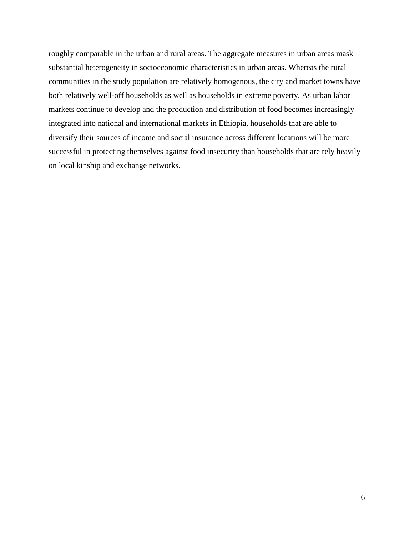roughly comparable in the urban and rural areas. The aggregate measures in urban areas mask substantial heterogeneity in socioeconomic characteristics in urban areas. Whereas the rural communities in the study population are relatively homogenous, the city and market towns have both relatively well-off households as well as households in extreme poverty. As urban labor markets continue to develop and the production and distribution of food becomes increasingly integrated into national and international markets in Ethiopia, households that are able to diversify their sources of income and social insurance across different locations will be more successful in protecting themselves against food insecurity than households that are rely heavily on local kinship and exchange networks.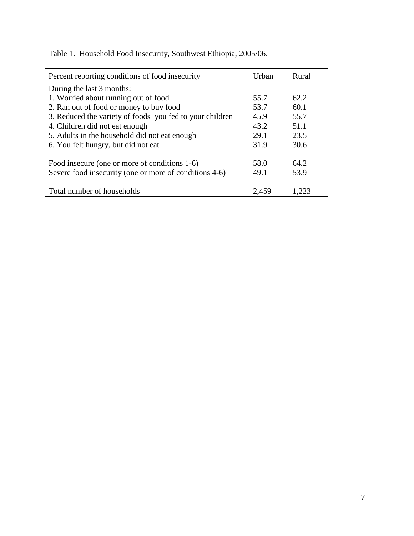| Percent reporting conditions of food insecurity          | Urban | Rural |
|----------------------------------------------------------|-------|-------|
| During the last 3 months:                                |       |       |
| 1. Worried about running out of food                     | 55.7  | 62.2  |
| 2. Ran out of food or money to buy food                  | 53.7  | 60.1  |
| 3. Reduced the variety of foods you fed to your children | 45.9  | 55.7  |
| 4. Children did not eat enough                           | 43.2  | 51.1  |
| 5. Adults in the household did not eat enough            | 29.1  | 23.5  |
| 6. You felt hungry, but did not eat                      | 31.9  | 30.6  |
|                                                          |       |       |
| Food insecure (one or more of conditions 1-6)            | 58.0  | 64.2  |
| Severe food insecurity (one or more of conditions 4-6)   | 49.1  | 53.9  |
| Total number of households                               | 2,459 |       |

Table 1. Household Food Insecurity, Southwest Ethiopia, 2005/06.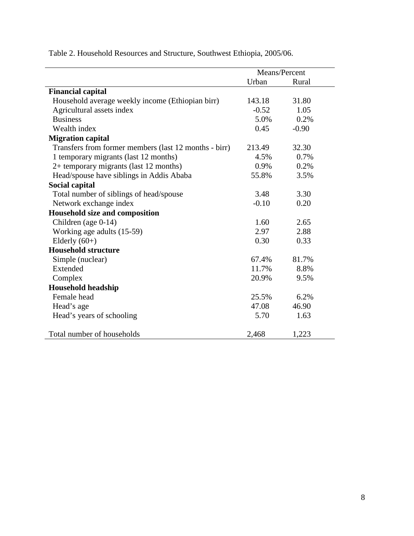|                                                       | Means/Percent |         |  |
|-------------------------------------------------------|---------------|---------|--|
|                                                       | Urban         | Rural   |  |
| <b>Financial capital</b>                              |               |         |  |
| Household average weekly income (Ethiopian birr)      | 143.18        | 31.80   |  |
| Agricultural assets index                             | $-0.52$       | 1.05    |  |
| <b>Business</b>                                       | 5.0%          | 0.2%    |  |
| Wealth index                                          | 0.45          | $-0.90$ |  |
| <b>Migration capital</b>                              |               |         |  |
| Transfers from former members (last 12 months - birr) | 213.49        | 32.30   |  |
| 1 temporary migrants (last 12 months)                 | 4.5%          | 0.7%    |  |
| 2+ temporary migrants (last 12 months)                | 0.9%          | 0.2%    |  |
| Head/spouse have siblings in Addis Ababa              | 55.8%         | 3.5%    |  |
| Social capital                                        |               |         |  |
| Total number of siblings of head/spouse               | 3.48          | 3.30    |  |
| Network exchange index                                | $-0.10$       | 0.20    |  |
| Household size and composition                        |               |         |  |
| Children (age 0-14)                                   | 1.60          | 2.65    |  |
| Working age adults (15-59)                            | 2.97          | 2.88    |  |
| Elderly $(60+)$                                       | 0.30          | 0.33    |  |
| <b>Household structure</b>                            |               |         |  |
| Simple (nuclear)                                      | 67.4%         | 81.7%   |  |
| Extended                                              | 11.7%         | 8.8%    |  |
| Complex                                               | 20.9%         | 9.5%    |  |
| <b>Household headship</b>                             |               |         |  |
| Female head                                           | 25.5%         | 6.2%    |  |
| Head's age                                            | 47.08         | 46.90   |  |
| Head's years of schooling                             | 5.70          | 1.63    |  |
| Total number of households                            | 2,468         | 1,223   |  |

Table 2. Household Resources and Structure, Southwest Ethiopia, 2005/06.